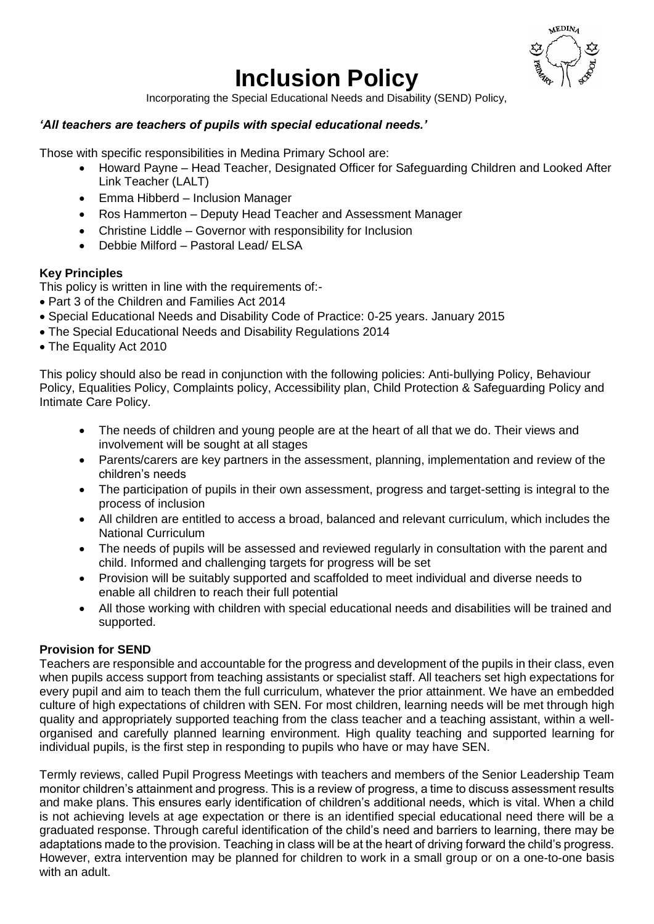# **Inclusion Policy**



Incorporating the Special Educational Needs and Disability (SEND) Policy,

## *'All teachers are teachers of pupils with special educational needs.'*

Those with specific responsibilities in Medina Primary School are:

- Howard Payne Head Teacher, Designated Officer for Safeguarding Children and Looked After Link Teacher (LALT)
- Emma Hibberd Inclusion Manager
- Ros Hammerton Deputy Head Teacher and Assessment Manager
- Christine Liddle Governor with responsibility for Inclusion
- Debbie Milford Pastoral Lead/ ELSA

# **Key Principles**

This policy is written in line with the requirements of:-

- Part 3 of the Children and Families Act 2014
- Special Educational Needs and Disability Code of Practice: 0-25 years. January 2015
- The Special Educational Needs and Disability Regulations 2014
- The Equality Act 2010

This policy should also be read in conjunction with the following policies: Anti-bullying Policy, Behaviour Policy, Equalities Policy, Complaints policy, Accessibility plan, Child Protection & Safeguarding Policy and Intimate Care Policy.

- The needs of children and young people are at the heart of all that we do. Their views and involvement will be sought at all stages
- Parents/carers are key partners in the assessment, planning, implementation and review of the children's needs
- The participation of pupils in their own assessment, progress and target-setting is integral to the process of inclusion
- All children are entitled to access a broad, balanced and relevant curriculum, which includes the National Curriculum
- The needs of pupils will be assessed and reviewed regularly in consultation with the parent and child. Informed and challenging targets for progress will be set
- Provision will be suitably supported and scaffolded to meet individual and diverse needs to enable all children to reach their full potential
- All those working with children with special educational needs and disabilities will be trained and supported.

## **Provision for SEND**

Teachers are responsible and accountable for the progress and development of the pupils in their class, even when pupils access support from teaching assistants or specialist staff. All teachers set high expectations for every pupil and aim to teach them the full curriculum, whatever the prior attainment. We have an embedded culture of high expectations of children with SEN. For most children, learning needs will be met through high quality and appropriately supported teaching from the class teacher and a teaching assistant, within a wellorganised and carefully planned learning environment. High quality teaching and supported learning for individual pupils, is the first step in responding to pupils who have or may have SEN.

Termly reviews, called Pupil Progress Meetings with teachers and members of the Senior Leadership Team monitor children's attainment and progress. This is a review of progress, a time to discuss assessment results and make plans. This ensures early identification of children's additional needs, which is vital. When a child is not achieving levels at age expectation or there is an identified special educational need there will be a graduated response. Through careful identification of the child's need and barriers to learning, there may be adaptations made to the provision. Teaching in class will be at the heart of driving forward the child's progress. However, extra intervention may be planned for children to work in a small group or on a one-to-one basis with an adult.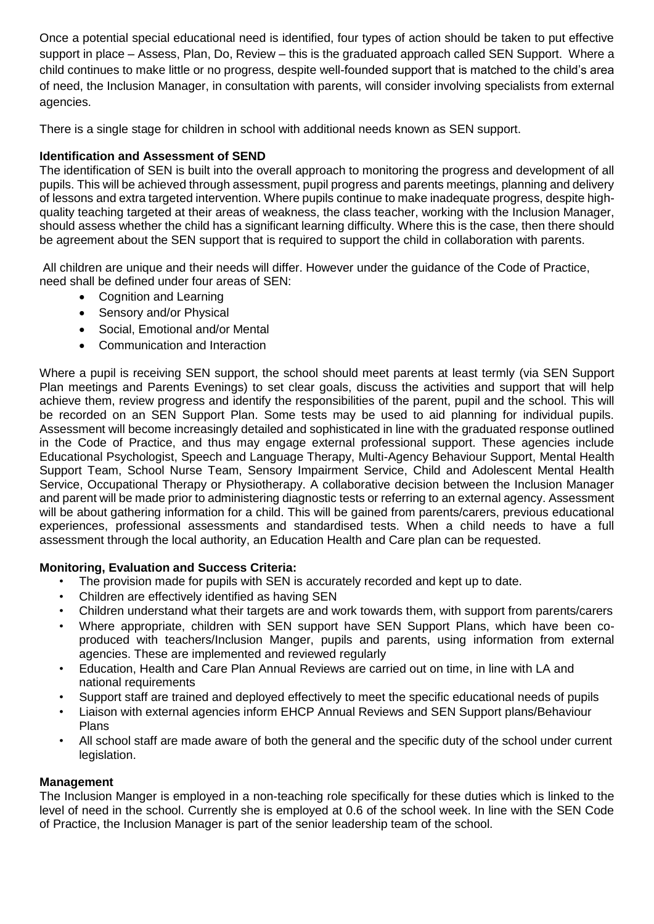Once a potential special educational need is identified, four types of action should be taken to put effective support in place – Assess, Plan, Do, Review – this is the graduated approach called SEN Support. Where a child continues to make little or no progress, despite well-founded support that is matched to the child's area of need, the Inclusion Manager, in consultation with parents, will consider involving specialists from external agencies.

There is a single stage for children in school with additional needs known as SEN support.

# **Identification and Assessment of SEND**

The identification of SEN is built into the overall approach to monitoring the progress and development of all pupils. This will be achieved through assessment, pupil progress and parents meetings, planning and delivery of lessons and extra targeted intervention. Where pupils continue to make inadequate progress, despite highquality teaching targeted at their areas of weakness, the class teacher, working with the Inclusion Manager, should assess whether the child has a significant learning difficulty. Where this is the case, then there should be agreement about the SEN support that is required to support the child in collaboration with parents.

All children are unique and their needs will differ. However under the guidance of the Code of Practice, need shall be defined under four areas of SEN:

- Cognition and Learning
- Sensory and/or Physical
- Social, Emotional and/or Mental
- Communication and Interaction

Where a pupil is receiving SEN support, the school should meet parents at least termly (via SEN Support Plan meetings and Parents Evenings) to set clear goals, discuss the activities and support that will help achieve them, review progress and identify the responsibilities of the parent, pupil and the school. This will be recorded on an SEN Support Plan. Some tests may be used to aid planning for individual pupils. Assessment will become increasingly detailed and sophisticated in line with the graduated response outlined in the Code of Practice, and thus may engage external professional support. These agencies include Educational Psychologist, Speech and Language Therapy, Multi-Agency Behaviour Support, Mental Health Support Team, School Nurse Team, Sensory Impairment Service, Child and Adolescent Mental Health Service, Occupational Therapy or Physiotherapy. A collaborative decision between the Inclusion Manager and parent will be made prior to administering diagnostic tests or referring to an external agency. Assessment will be about gathering information for a child. This will be gained from parents/carers, previous educational experiences, professional assessments and standardised tests. When a child needs to have a full assessment through the local authority, an Education Health and Care plan can be requested.

# **Monitoring, Evaluation and Success Criteria:**

- The provision made for pupils with SEN is accurately recorded and kept up to date.
- Children are effectively identified as having SEN
- Children understand what their targets are and work towards them, with support from parents/carers
- Where appropriate, children with SEN support have SEN Support Plans, which have been coproduced with teachers/Inclusion Manger, pupils and parents, using information from external agencies. These are implemented and reviewed regularly
- Education, Health and Care Plan Annual Reviews are carried out on time, in line with LA and national requirements
- Support staff are trained and deployed effectively to meet the specific educational needs of pupils
- Liaison with external agencies inform EHCP Annual Reviews and SEN Support plans/Behaviour Plans
- All school staff are made aware of both the general and the specific duty of the school under current legislation.

## **Management**

The Inclusion Manger is employed in a non-teaching role specifically for these duties which is linked to the level of need in the school. Currently she is employed at 0.6 of the school week. In line with the SEN Code of Practice, the Inclusion Manager is part of the senior leadership team of the school.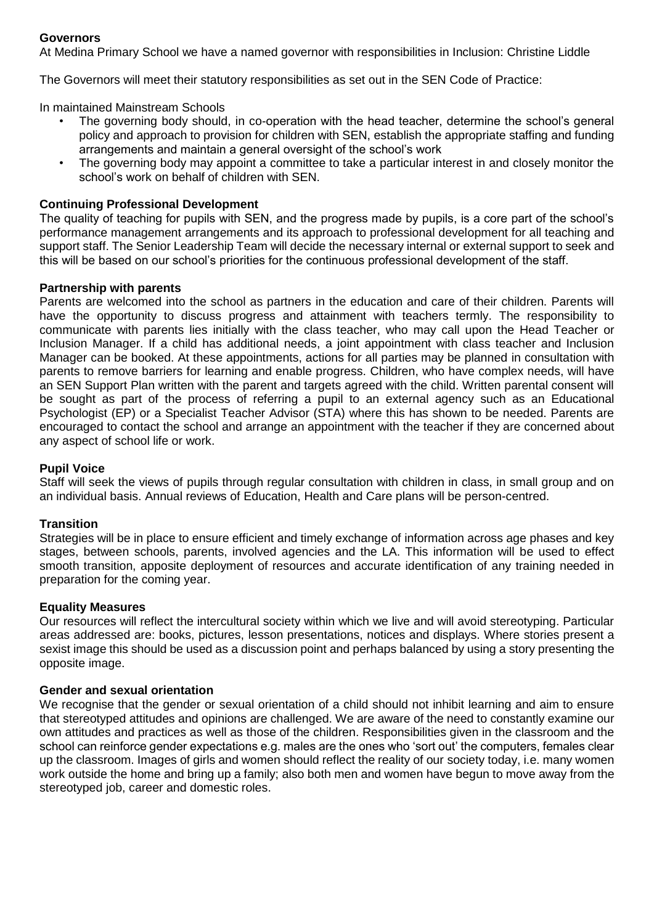## **Governors**

At Medina Primary School we have a named governor with responsibilities in Inclusion: Christine Liddle

The Governors will meet their statutory responsibilities as set out in the SEN Code of Practice:

In maintained Mainstream Schools

- The governing body should, in co-operation with the head teacher, determine the school's general policy and approach to provision for children with SEN, establish the appropriate staffing and funding arrangements and maintain a general oversight of the school's work
- The governing body may appoint a committee to take a particular interest in and closely monitor the school's work on behalf of children with SEN.

## **Continuing Professional Development**

The quality of teaching for pupils with SEN, and the progress made by pupils, is a core part of the school's performance management arrangements and its approach to professional development for all teaching and support staff. The Senior Leadership Team will decide the necessary internal or external support to seek and this will be based on our school's priorities for the continuous professional development of the staff.

#### **Partnership with parents**

Parents are welcomed into the school as partners in the education and care of their children. Parents will have the opportunity to discuss progress and attainment with teachers termly. The responsibility to communicate with parents lies initially with the class teacher, who may call upon the Head Teacher or Inclusion Manager. If a child has additional needs, a joint appointment with class teacher and Inclusion Manager can be booked. At these appointments, actions for all parties may be planned in consultation with parents to remove barriers for learning and enable progress. Children, who have complex needs, will have an SEN Support Plan written with the parent and targets agreed with the child. Written parental consent will be sought as part of the process of referring a pupil to an external agency such as an Educational Psychologist (EP) or a Specialist Teacher Advisor (STA) where this has shown to be needed. Parents are encouraged to contact the school and arrange an appointment with the teacher if they are concerned about any aspect of school life or work.

#### **Pupil Voice**

Staff will seek the views of pupils through regular consultation with children in class, in small group and on an individual basis. Annual reviews of Education, Health and Care plans will be person-centred.

#### **Transition**

Strategies will be in place to ensure efficient and timely exchange of information across age phases and key stages, between schools, parents, involved agencies and the LA. This information will be used to effect smooth transition, apposite deployment of resources and accurate identification of any training needed in preparation for the coming year.

#### **Equality Measures**

Our resources will reflect the intercultural society within which we live and will avoid stereotyping. Particular areas addressed are: books, pictures, lesson presentations, notices and displays. Where stories present a sexist image this should be used as a discussion point and perhaps balanced by using a story presenting the opposite image.

#### **Gender and sexual orientation**

We recognise that the gender or sexual orientation of a child should not inhibit learning and aim to ensure that stereotyped attitudes and opinions are challenged. We are aware of the need to constantly examine our own attitudes and practices as well as those of the children. Responsibilities given in the classroom and the school can reinforce gender expectations e.g. males are the ones who 'sort out' the computers, females clear up the classroom. Images of girls and women should reflect the reality of our society today, i.e. many women work outside the home and bring up a family; also both men and women have begun to move away from the stereotyped job, career and domestic roles.